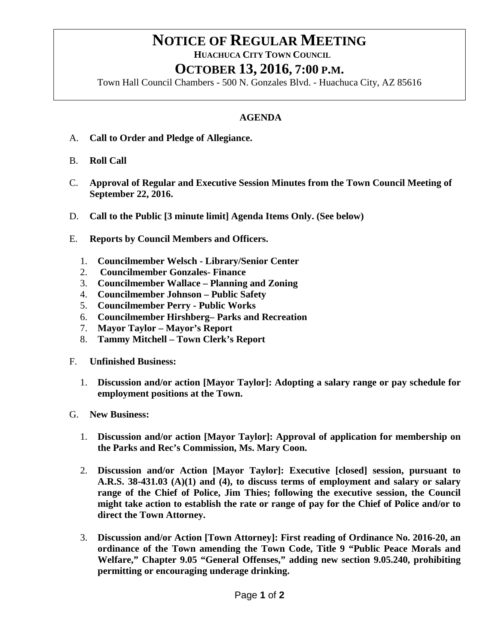## **NOTICE OF REGULAR MEETING**<br>HUACHUCA CITY TOWN COUNCIL **OCTOBER 13, 2016, 7:00 P.M.**

Town Hall Council Chambers - 500 N. Gonzales Blvd. - Huachuca City, AZ 85616

## **AGENDA**

- A. **Call to Order and Pledge of Allegiance.**
- B. **Roll Call**
- C. **Approval of Regular and Executive Session Minutes from the Town Council Meeting of September 22, 2016.**
- D. **Call to the Public [3 minute limit] Agenda Items Only. (See below)**
- E. **Reports by Council Members and Officers.**
	- 1. **Councilmember Welsch - Library/Senior Center**
	- 2. **Councilmember Gonzales- Finance**
	- 3. **Councilmember Wallace – Planning and Zoning**
	- 4. **Councilmember Johnson – Public Safety**
	- 5. **Councilmember Perry - Public Works**
	- 6. **Councilmember Hirshberg– Parks and Recreation**
	- 7. **Mayor Taylor – Mayor's Report**
	- 8. **Tammy Mitchell – Town Clerk's Report**
- F. **Unfinished Business:** 
	- 1. **Discussion and/or action [Mayor Taylor]: Adopting a salary range or pay schedule for employment positions at the Town.**
- G. **New Business:** 
	- 1. **Discussion and/or action [Mayor Taylor]: Approval of application for membership on the Parks and Rec's Commission, Ms. Mary Coon.**
	- 2. **Discussion and/or Action [Mayor Taylor]: Executive [closed] session, pursuant to A.R.S. 38-431.03 (A)(1) and (4), to discuss terms of employment and salary or salary range of the Chief of Police, Jim Thies; following the executive session, the Council might take action to establish the rate or range of pay for the Chief of Police and/or to direct the Town Attorney.**
	- 3. **Discussion and/or Action [Town Attorney]: First reading of Ordinance No. 2016-20, an ordinance of the Town amending the Town Code, Title 9 "Public Peace Morals and Welfare," Chapter 9.05 "General Offenses," adding new section 9.05.240, prohibiting permitting or encouraging underage drinking.**